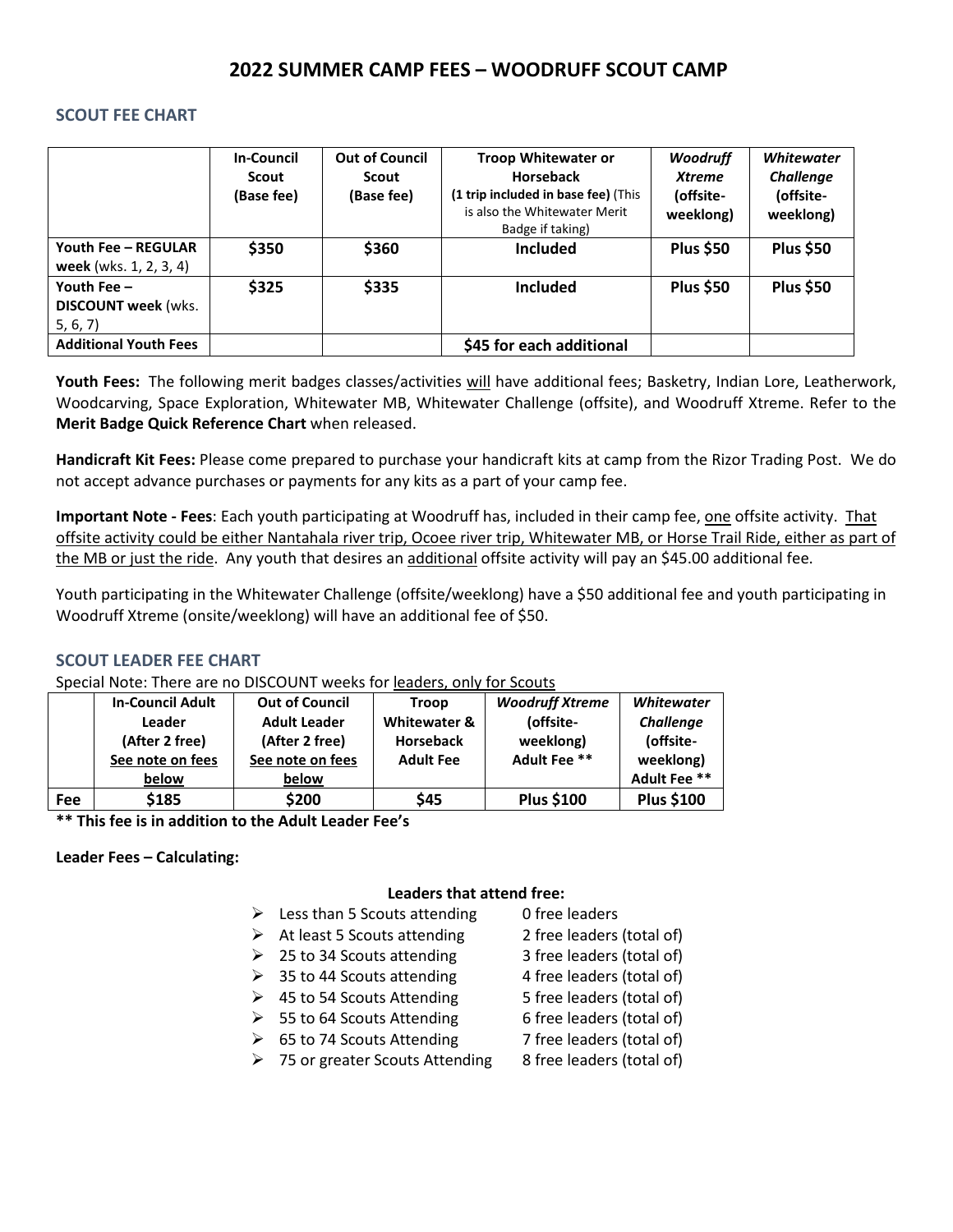# **2022 SUMMER CAMP FEES – WOODRUFF SCOUT CAMP**

### **SCOUT FEE CHART**

|                                                         | <b>In-Council</b><br>Scout<br>(Base fee) | <b>Out of Council</b><br>Scout<br>(Base fee) | <b>Troop Whitewater or</b><br><b>Horseback</b><br>(1 trip included in base fee) (This<br>is also the Whitewater Merit<br>Badge if taking) | <b>Woodruff</b><br><b>Xtreme</b><br>(offsite-<br>weeklong) | <b>Whitewater</b><br><b>Challenge</b><br>(offsite-<br>weeklong) |
|---------------------------------------------------------|------------------------------------------|----------------------------------------------|-------------------------------------------------------------------------------------------------------------------------------------------|------------------------------------------------------------|-----------------------------------------------------------------|
| Youth Fee - REGULAR<br>week (wks. 1, 2, 3, 4)           | \$350                                    | \$360                                        | <b>Included</b>                                                                                                                           | <b>Plus \$50</b>                                           | <b>Plus \$50</b>                                                |
| Youth Fee $-$<br><b>DISCOUNT week (wks.</b><br>5, 6, 7) | \$325                                    | \$335                                        | <b>Included</b>                                                                                                                           | <b>Plus \$50</b>                                           | <b>Plus \$50</b>                                                |
| <b>Additional Youth Fees</b>                            |                                          |                                              | \$45 for each additional                                                                                                                  |                                                            |                                                                 |

**Youth Fees:** The following merit badges classes/activities will have additional fees; Basketry, Indian Lore, Leatherwork, Woodcarving, Space Exploration, Whitewater MB, Whitewater Challenge (offsite), and Woodruff Xtreme. Refer to the **Merit Badge Quick Reference Chart** when released.

**Handicraft Kit Fees:** Please come prepared to purchase your handicraft kits at camp from the Rizor Trading Post. We do not accept advance purchases or payments for any kits as a part of your camp fee.

**Important Note - Fees**: Each youth participating at Woodruff has, included in their camp fee, one offsite activity. That offsite activity could be either Nantahala river trip, Ocoee river trip, Whitewater MB, or Horse Trail Ride, either as part of the MB or just the ride. Any youth that desires an additional offsite activity will pay an \$45.00 additional fee.

Youth participating in the Whitewater Challenge (offsite/weeklong) have a \$50 additional fee and youth participating in Woodruff Xtreme (onsite/weeklong) will have an additional fee of \$50.

## **SCOUT LEADER FEE CHART**

Special Note: There are no DISCOUNT weeks for leaders, only for Scouts

|     | <b>In-Council Adult</b> | <b>Out of Council</b> | <b>Troop</b>     | <b>Woodruff Xtreme</b> | <b>Whitewater</b> |  |  |  |
|-----|-------------------------|-----------------------|------------------|------------------------|-------------------|--|--|--|
|     | Leader                  | <b>Adult Leader</b>   | Whitewater &     | (offsite-              | Challenge         |  |  |  |
|     | (After 2 free)          | (After 2 free)        | <b>Horseback</b> | weeklong)              | (offsite-         |  |  |  |
|     | See note on fees        | See note on fees      | <b>Adult Fee</b> | Adult Fee **           | weeklong)         |  |  |  |
|     | below                   | below                 |                  |                        | Adult Fee **      |  |  |  |
| Fee | \$185                   | \$200                 | \$45             | <b>Plus \$100</b>      | <b>Plus \$100</b> |  |  |  |

**\*\* This fee is in addition to the Adult Leader Fee's**

### **Leader Fees – Calculating:**

### **Leaders that attend free:**

- $\triangleright$  Less than 5 Scouts attending 0 free leaders
- $\triangleright$  At least 5 Scouts attending 2 free leaders (total of)
- $\geq$  25 to 34 Scouts attending 3 free leaders (total of)
- $\geq$  35 to 44 Scouts attending 4 free leaders (total of)
	-
- $\geq$  45 to 54 Scouts Attending 5 free leaders (total of)  $\geq$  55 to 64 Scouts Attending 6 free leaders (total of)
- 
- $\triangleright$  65 to 74 Scouts Attending 7 free leaders (total of)
- $\geq$  75 or greater Scouts Attending 8 free leaders (total of)